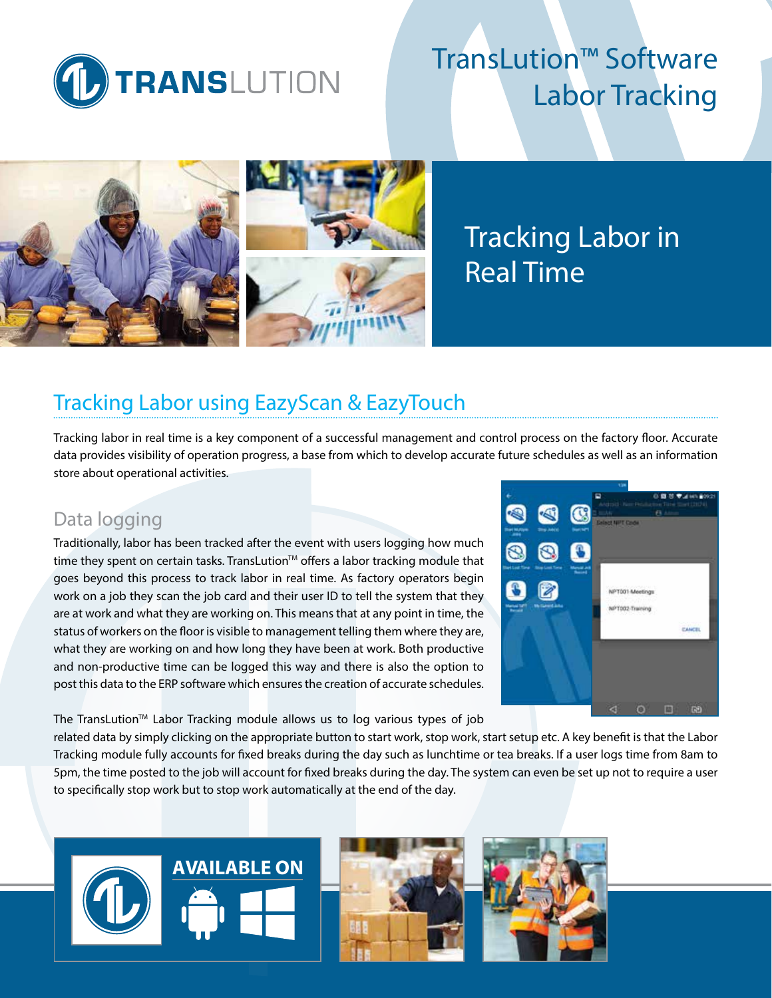

# TransLution™ Software Labor Tracking



# Tracking Labor in Real Time

## Tracking Labor using EazyScan & EazyTouch

Tracking labor in real time is a key component of a successful management and control process on the factory floor. Accurate data provides visibility of operation progress, a base from which to develop accurate future schedules as well as an information store about operational activities.

### Data logging

Traditionally, labor has been tracked after the event with users logging how much time they spent on certain tasks. TransLution™ offers a labor tracking module that goes beyond this process to track labor in real time. As factory operators begin work on a job they scan the job card and their user ID to tell the system that they are at work and what they are working on. This means that at any point in time, the status of workers on the floor is visible to management telling them where they are, what they are working on and how long they have been at work. Both productive and non-productive time can be logged this way and there is also the option to post this data to the ERP software which ensures the creation of accurate schedules.

The TransLution<sup>™</sup> Labor Tracking module allows us to log various types of job

related data by simply clicking on the appropriate button to start work, stop work, start setup etc. A key benefit is that the Labor Tracking module fully accounts for fixed breaks during the day such as lunchtime or tea breaks. If a user logs time from 8am to 5pm, the time posted to the job will account for fixed breaks during the day. The system can even be set up not to require a user to specifically stop work but to stop work automatically at the end of the day.



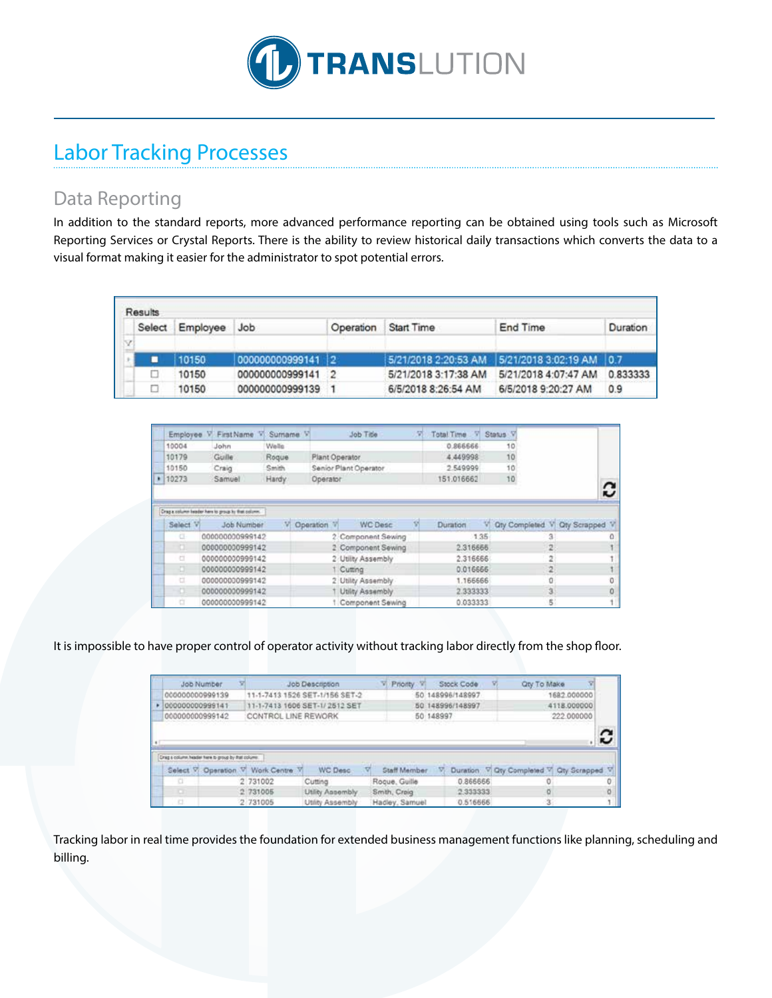

# Labor Tracking Processes

## Data Reporting

In addition to the standard reports, more advanced performance reporting can be obtained using tools such as Microsoft Reporting Services or Crystal Reports. There is the ability to review historical daily transactions which converts the data to a visual format making it easier for the administrator to spot potential errors.

| Results |          |                   |           |                      |                                               |          |
|---------|----------|-------------------|-----------|----------------------|-----------------------------------------------|----------|
| Select  | Employee | <b>Job</b>        | Operation | Start Time           | End Time                                      | Duration |
|         |          |                   |           |                      |                                               |          |
|         | 10150    | 000000000999141 2 |           |                      | 5/21/2018 2:20:53 AM 5/21/2018 3:02:19 AM 0.7 |          |
|         | 10150    | 000000000999141   |           | 5/21/2018 3:17:38 AM | 5/21/2018 4:07:47 AM                          | 0.833333 |
|         | 10150    | 000000000999139   |           | 6/5/2018 8:26:54 AM  | 6/5/2018 9:20:27 AM                           | 0.9      |

| Employee | First Name                                         | Sumame <sup>V</sup> |                | Job Title             | Total Time V Status V |      |    |                |                                  |
|----------|----------------------------------------------------|---------------------|----------------|-----------------------|-----------------------|------|----|----------------|----------------------------------|
| 10004    | John                                               | Wells               |                |                       | 0.866666              |      | 10 |                |                                  |
| 10179    | Guille:                                            | Roque               | Plant Operator |                       | 4.449998              |      | 10 |                |                                  |
| 10150    | Craig                                              | Smith               |                | Senior Plant Operator | 2.549999              |      | 10 |                |                                  |
| 10273    | Samuel                                             | Hardy.              | Operator       |                       | 151.016662            |      | 10 |                |                                  |
|          |                                                    |                     |                |                       |                       |      |    |                | c                                |
|          |                                                    |                     |                |                       |                       |      |    |                |                                  |
|          | Drag a column teader here to group by that column. |                     |                |                       |                       |      |    |                |                                  |
| Select V | Job Number                                         |                     | Operation V    | <b>WC Desc</b>        | <b>Duration</b>       |      |    |                |                                  |
| CF-      | 000000000999142                                    |                     |                | 2. Component Sewing   |                       | 1.35 |    | з              |                                  |
| O.       | 000000000999142                                    |                     |                | 2 Component Sewing    | 2.316666              |      |    | 2.5            |                                  |
| ä        | 00000000999142                                     |                     |                | 2 Utility Assembly    | 2.316666              |      |    | $\overline{2}$ |                                  |
| ×.       | 000000000999142                                    |                     |                | Cutting               | 0.016666              |      |    | $\overline{2}$ | V Ony Completed V Oty Scrapped V |
| ä        | 00000000999142                                     |                     |                | 2 Utility Assembly    | 1.166666              |      |    | û              |                                  |
| o        | 00000000999142                                     |                     |                | Utility Assembly      | 2.333333              |      |    | 3              |                                  |

It is impossible to have proper control of operator activity without tracking labor directly from the shop floor.

|   | Job Number                                         |                                    | Job Description                | <b>Priority</b><br>m. |           | Stock Code       | <b>Qty To Make</b>         |                     |  |
|---|----------------------------------------------------|------------------------------------|--------------------------------|-----------------------|-----------|------------------|----------------------------|---------------------|--|
|   | 00000000099139                                     |                                    | 11-1-7413 1526 SET-1/156 SET-2 |                       |           | 50 148996/148997 |                            | 1682.000000         |  |
|   | 000000000999141                                    |                                    | 11-1-7413 1606 SET-1/2512 SET  |                       |           | 50 148996/148997 |                            | 4118.000000         |  |
|   | 000000000999142                                    | CONTROL LINE REWORK                |                                |                       | 50 148997 |                  |                            | 222,000000          |  |
|   |                                                    |                                    |                                |                       |           |                  |                            |                     |  |
|   | Drag a column header here to group by that column. |                                    |                                |                       |           |                  |                            |                     |  |
|   |                                                    | Select V. Operation V. Work Centre | <b>WC Desc</b>                 | Staff Member          |           |                  | Duration V Qty Completed V | <b>Qty Scrapped</b> |  |
|   |                                                    | 2 731002                           | Cutting                        | Rocue, Guille         |           | 0.866666         |                            |                     |  |
| œ |                                                    | 2 731005                           | Utility Assembly               | Smith, Croig          |           | 2 333333         | o                          |                     |  |

Tracking labor in real time provides the foundation for extended business management functions like planning, scheduling and billing.